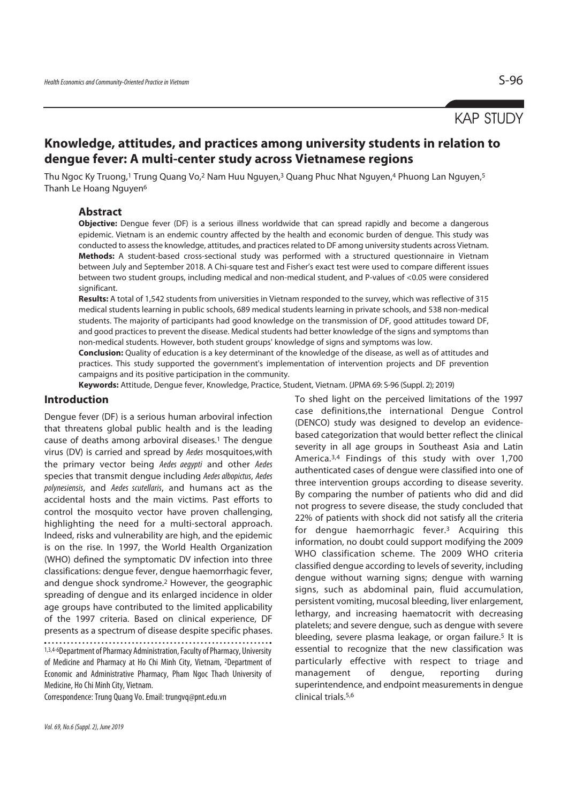# KAP STUDY

## **Knowledge, attitudes, and practices among university students in relation to dengue fever: A multi-center study across Vietnamese regions**

Thu Ngoc Ky Truong,<sup>1</sup> Trung Quang Vo,<sup>2</sup> Nam Huu Nguyen,<sup>3</sup> Quang Phuc Nhat Nguyen,<sup>4</sup> Phuong Lan Nguyen,<sup>5</sup> Thanh Le Hoang Nguyen<sup>6</sup>

#### **Abstract**

**Objective:** Dengue fever (DF) is a serious illness worldwide that can spread rapidly and become a dangerous epidemic. Vietnam is an endemic country affected by the health and economic burden of dengue. This study was conducted to assess the knowledge, attitudes, and practices related to DF among university students across Vietnam. **Methods:** A student-based cross-sectional study was performed with a structured questionnaire in Vietnam between July and September 2018. A Chi-square test and Fisher's exact test were used to compare different issues between two student groups, including medical and non-medical student, and P-values of <0.05 were considered significant.

**Results:** A total of 1,542 students from universities in Vietnam responded to the survey, which was reflective of 315 medical students learning in public schools, 689 medical students learning in private schools, and 538 non-medical students. The majority of participants had good knowledge on the transmission of DF, good attitudes toward DF, and good practices to prevent the disease. Medical students had better knowledge of the signs and symptoms than non-medical students. However, both student groups' knowledge of signs and symptoms was low.

**Conclusion:** Quality of education is a key determinant of the knowledge of the disease, as well as of attitudes and practices. This study supported the government's implementation of intervention projects and DF prevention campaigns and its positive participation in the community.

**Keywords:** Attitude, Dengue fever, Knowledge, Practice, Student, Vietnam. (JPMA 69: S-96 (Suppl. 2); 2019)

#### **Introduction**

Dengue fever (DF) is a serious human arboviral infection that threatens global public health and is the leading cause of deaths among arboviral diseases.1 The dengue virus (DV) is carried and spread by Aedes mosquitoes,with the primary vector being Aedes aegypti and other Aedes species that transmit dengue including Aedes albopictus, Aedes polynesiensis, and Aedes scutellaris, and humans act as the accidental hosts and the main victims. Past efforts to control the mosquito vector have proven challenging, highlighting the need for a multi-sectoral approach. Indeed, risks and vulnerability are high, and the epidemic is on the rise. In 1997, the World Health Organization (WHO) defined the symptomatic DV infection into three classifications: dengue fever, dengue haemorrhagic fever, and dengue shock syndrome.2 However, the geographic spreading of dengue and its enlarged incidence in older age groups have contributed to the limited applicability of the 1997 criteria. Based on clinical experience, DF presents as a spectrum of disease despite specific phases. 1,3,4-6Department of Pharmacy Administration, Faculty of Pharmacy, University of Medicine and Pharmacy at Ho Chi Minh City, Vietnam, 2Department of Economic and Administrative Pharmacy, Pham Ngoc Thach University of Medicine, Ho Chi Minh City, Vietnam.

Correspondence: Trung Quang Vo. Email: trungvq@pnt.edu.vn

To shed light on the perceived limitations of the 1997 case definitions,the international Dengue Control (DENCO) study was designed to develop an evidencebased categorization that would better reflect the clinical severity in all age groups in Southeast Asia and Latin America.3,4 Findings of this study with over 1,700 authenticated cases of dengue were classified into one of three intervention groups according to disease severity. By comparing the number of patients who did and did not progress to severe disease, the study concluded that 22% of patients with shock did not satisfy all the criteria for dengue haemorrhagic fever.3 Acquiring this information, no doubt could support modifying the 2009 WHO classification scheme. The 2009 WHO criteria classified dengue according to levels of severity, including dengue without warning signs; dengue with warning signs, such as abdominal pain, fluid accumulation, persistent vomiting, mucosal bleeding, liver enlargement, lethargy, and increasing haematocrit with decreasing platelets; and severe dengue, such as dengue with severe bleeding, severe plasma leakage, or organ failure.<sup>5</sup> It is essential to recognize that the new classification was particularly effective with respect to triage and management of dengue, reporting during superintendence, and endpoint measurements in dengue clinical trials.5,6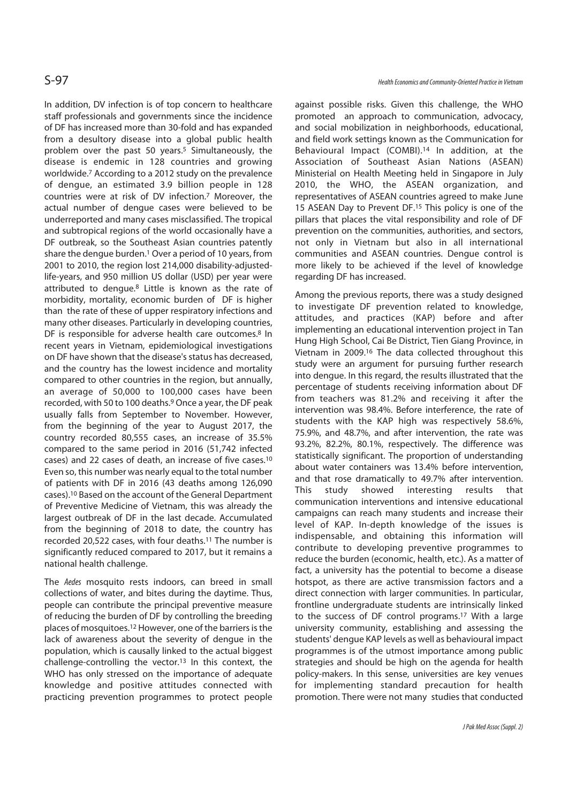In addition, DV infection is of top concern to healthcare staff professionals and governments since the incidence of DF has increased more than 30-fold and has expanded from a desultory disease into a global public health problem over the past 50 years.<sup>5</sup> Simultaneously, the disease is endemic in 128 countries and growing worldwide.7 According to a 2012 study on the prevalence of dengue, an estimated 3.9 billion people in 128 countries were at risk of DV infection.7 Moreover, the actual number of dengue cases were believed to be underreported and many cases misclassified. The tropical and subtropical regions of the world occasionally have a DF outbreak, so the Southeast Asian countries patently share the dengue burden.1 Over a period of 10 years, from 2001 to 2010, the region lost 214,000 disability-adjustedlife-years, and 950 million US dollar (USD) per year were attributed to dengue.8 Little is known as the rate of morbidity, mortality, economic burden of DF is higher than the rate of these of upper respiratory infections and many other diseases. Particularly in developing countries, DF is responsible for adverse health care outcomes.<sup>8</sup> In recent years in Vietnam, epidemiological investigations on DF have shown that the disease's status has decreased, and the country has the lowest incidence and mortality compared to other countries in the region, but annually, an average of 50,000 to 100,000 cases have been recorded, with 50 to 100 deaths.9 Once a year, the DF peak usually falls from September to November. However, from the beginning of the year to August 2017, the country recorded 80,555 cases, an increase of 35.5% compared to the same period in 2016 (51,742 infected cases) and 22 cases of death, an increase of five cases.10 Even so, this number was nearly equal to the total number of patients with DF in 2016 (43 deaths among 126,090 cases).10 Based on the account of the General Department of Preventive Medicine of Vietnam, this was already the largest outbreak of DF in the last decade. Accumulated from the beginning of 2018 to date, the country has recorded 20,522 cases, with four deaths.11 The number is significantly reduced compared to 2017, but it remains a national health challenge.

The Aedes mosquito rests indoors, can breed in small collections of water, and bites during the daytime. Thus, people can contribute the principal preventive measure of reducing the burden of DF by controlling the breeding places of mosquitoes.12 However, one of the barriers is the lack of awareness about the severity of dengue in the population, which is causally linked to the actual biggest challenge-controlling the vector.<sup>13</sup> In this context, the WHO has only stressed on the importance of adequate knowledge and positive attitudes connected with practicing prevention programmes to protect people

against possible risks. Given this challenge, the WHO promoted an approach to communication, advocacy, and social mobilization in neighborhoods, educational, and field work settings known as the Communication for Behavioural Impact (COMBI).14 In addition, at the Association of Southeast Asian Nations (ASEAN) Ministerial on Health Meeting held in Singapore in July 2010, the WHO, the ASEAN organization, and representatives of ASEAN countries agreed to make June 15 ASEAN Day to Prevent DF.15 This policy is one of the pillars that places the vital responsibility and role of DF prevention on the communities, authorities, and sectors, not only in Vietnam but also in all international communities and ASEAN countries. Dengue control is more likely to be achieved if the level of knowledge regarding DF has increased.

Among the previous reports, there was a study designed to investigate DF prevention related to knowledge, attitudes, and practices (KAP) before and after implementing an educational intervention project in Tan Hung High School, Cai Be District, Tien Giang Province, in Vietnam in 2009.16 The data collected throughout this study were an argument for pursuing further research into dengue. In this regard, the results illustrated that the percentage of students receiving information about DF from teachers was 81.2% and receiving it after the intervention was 98.4%. Before interference, the rate of students with the KAP high was respectively 58.6%, 75.9%, and 48.7%, and after intervention, the rate was 93.2%, 82.2%, 80.1%, respectively. The difference was statistically significant. The proportion of understanding about water containers was 13.4% before intervention, and that rose dramatically to 49.7% after intervention. This study showed interesting results that communication interventions and intensive educational campaigns can reach many students and increase their level of KAP. In-depth knowledge of the issues is indispensable, and obtaining this information will contribute to developing preventive programmes to reduce the burden (economic, health, etc.). As a matter of fact, a university has the potential to become a disease hotspot, as there are active transmission factors and a direct connection with larger communities. In particular, frontline undergraduate students are intrinsically linked to the success of DF control programs.17 With a large university community, establishing and assessing the students' dengue KAP levels as well as behavioural impact programmes is of the utmost importance among public strategies and should be high on the agenda for health policy-makers. In this sense, universities are key venues for implementing standard precaution for health promotion. There were not many studies that conducted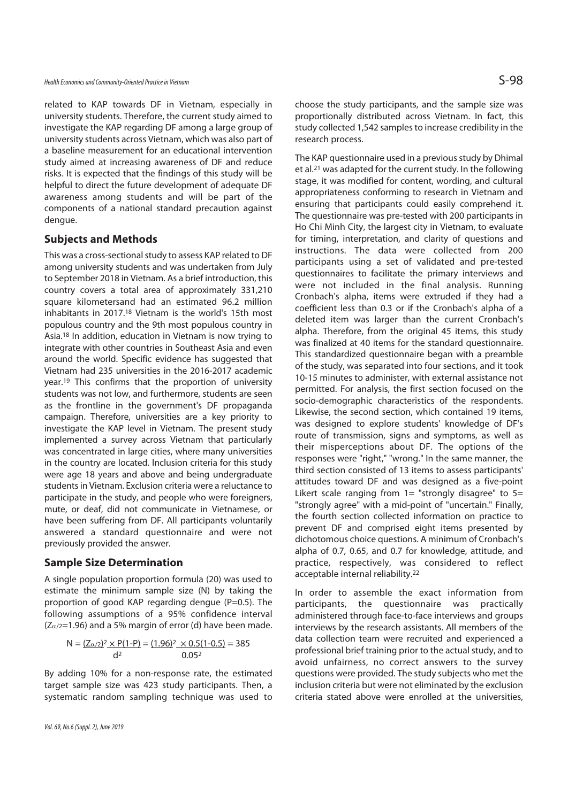related to KAP towards DF in Vietnam, especially in university students. Therefore, the current study aimed to investigate the KAP regarding DF among a large group of university students across Vietnam, which was also part of a baseline measurement for an educational intervention study aimed at increasing awareness of DF and reduce risks. It is expected that the findings of this study will be helpful to direct the future development of adequate DF awareness among students and will be part of the components of a national standard precaution against dengue.

### **Subjects and Methods**

This was a cross-sectional study to assess KAP related to DF among university students and was undertaken from July to September 2018 in Vietnam. As a brief introduction, this country covers a total area of approximately 331,210 square kilometersand had an estimated 96.2 million inhabitants in 2017.18 Vietnam is the world's 15th most populous country and the 9th most populous country in Asia.18 In addition, education in Vietnam is now trying to integrate with other countries in Southeast Asia and even around the world. Specific evidence has suggested that Vietnam had 235 universities in the 2016-2017 academic year.19 This confirms that the proportion of university students was not low, and furthermore, students are seen as the frontline in the government's DF propaganda campaign. Therefore, universities are a key priority to investigate the KAP level in Vietnam. The present study implemented a survey across Vietnam that particularly was concentrated in large cities, where many universities in the country are located. Inclusion criteria for this study were age 18 years and above and being undergraduate students in Vietnam. Exclusion criteria were a reluctance to participate in the study, and people who were foreigners, mute, or deaf, did not communicate in Vietnamese, or have been suffering from DF. All participants voluntarily answered a standard questionnaire and were not previously provided the answer.

### **Sample Size Determination**

A single population proportion formula (20) was used to estimate the minimum sample size (N) by taking the proportion of good KAP regarding dengue (P=0.5). The following assumptions of a 95% confidence interval  $(Z_{\alpha/2}=1.96)$  and a 5% margin of error (d) have been made.

$$
N = \frac{Z_{\alpha/2}^2 \times P(1-P)}{d^2} = \frac{(1.96)^2 \times 0.5(1-0.5)}{0.05^2} = 385
$$

By adding 10% for a non-response rate, the estimated target sample size was 423 study participants. Then, a systematic random sampling technique was used to

choose the study participants, and the sample size was proportionally distributed across Vietnam. In fact, this study collected 1,542 samples to increase credibility in the research process.

The KAP questionnaire used in a previous study by Dhimal et al.21 was adapted for the current study. In the following stage, it was modified for content, wording, and cultural appropriateness conforming to research in Vietnam and ensuring that participants could easily comprehend it. The questionnaire was pre-tested with 200 participants in Ho Chi Minh City, the largest city in Vietnam, to evaluate for timing, interpretation, and clarity of questions and instructions. The data were collected from 200 participants using a set of validated and pre-tested questionnaires to facilitate the primary interviews and were not included in the final analysis. Running Cronbach's alpha, items were extruded if they had a coefficient less than 0.3 or if the Cronbach's alpha of a deleted item was larger than the current Cronbach's alpha. Therefore, from the original 45 items, this study was finalized at 40 items for the standard questionnaire. This standardized questionnaire began with a preamble of the study, was separated into four sections, and it took 10-15 minutes to administer, with external assistance not permitted. For analysis, the first section focused on the socio-demographic characteristics of the respondents. Likewise, the second section, which contained 19 items, was designed to explore students' knowledge of DF's route of transmission, signs and symptoms, as well as their misperceptions about DF. The options of the responses were "right," "wrong." In the same manner, the third section consisted of 13 items to assess participants' attitudes toward DF and was designed as a five-point Likert scale ranging from  $1=$  "strongly disagree" to  $5=$ "strongly agree" with a mid-point of "uncertain." Finally, the fourth section collected information on practice to prevent DF and comprised eight items presented by dichotomous choice questions. A minimum of Cronbach's alpha of 0.7, 0.65, and 0.7 for knowledge, attitude, and practice, respectively, was considered to reflect acceptable internal reliability.22

In order to assemble the exact information from participants, the questionnaire was practically administered through face-to-face interviews and groups interviews by the research assistants. All members of the data collection team were recruited and experienced a professional brief training prior to the actual study, and to avoid unfairness, no correct answers to the survey questions were provided. The study subjects who met the inclusion criteria but were not eliminated by the exclusion criteria stated above were enrolled at the universities,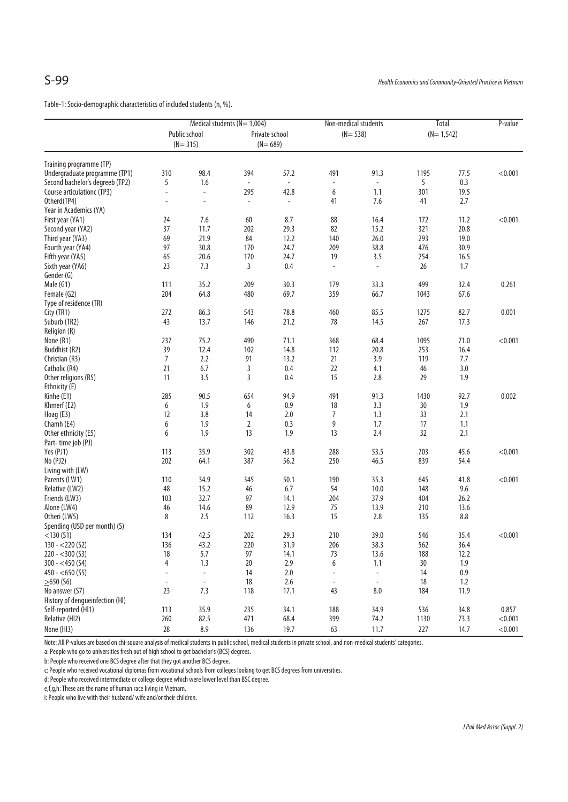Table-1: Socio-demographic characteristics of included students (n, %).

|                                      |                          | Medical students ( $N = 1,004$ ) |                          |                | Non-medical students     |                          | <b>Total</b> | P-value |         |
|--------------------------------------|--------------------------|----------------------------------|--------------------------|----------------|--------------------------|--------------------------|--------------|---------|---------|
|                                      |                          | Public school                    |                          | Private school | $(N = 538)$              |                          | $(N=1,542)$  |         |         |
|                                      |                          | $(N = 315)$                      |                          | $(N=689)$      |                          |                          |              |         |         |
|                                      |                          |                                  |                          |                |                          |                          |              |         |         |
| Training programme (TP)              |                          |                                  |                          |                |                          |                          |              |         |         |
| Undergraduate programme (TP1)        | 310                      | 98.4                             | 394                      | 57.2           | 491                      | 91.3                     | 1195         | 77.5    | < 0.001 |
| Second bachelor's degreeb (TP2)      | 5                        | 1.6                              | $\overline{\phantom{a}}$ | $\blacksquare$ | $\overline{\phantom{a}}$ | $\blacksquare$           | 5            | 0.3     |         |
| Course articulationc (TP3)           | ÷,                       | $\overline{\phantom{a}}$         | 295                      | 42.8           | 6                        | 1.1                      | 301          | 19.5    |         |
| Otherd(TP4)                          | ÷,                       | ÷,                               | $\bar{a}$                | $\omega$       | 41                       | 7.6                      | 41           | 2.7     |         |
| Year in Academics (YA)               |                          |                                  |                          |                |                          |                          |              |         |         |
| First year (YA1)                     | 24                       | 7.6                              | 60                       | 8.7            | 88                       | 16.4                     | 172          | 11.2    | < 0.001 |
| Second year (YA2)                    | 37                       | 11.7                             | 202                      | 29.3           | 82                       | 15.2                     | 321          | 20.8    |         |
| Third year (YA3)                     | 69                       | 21.9                             | 84                       | 12.2           | 140                      | 26.0                     | 293          | 19.0    |         |
| Fourth year (YA4)                    | 97                       | 30.8                             | 170                      | 24.7           | 209                      | 38.8                     | 476          | 30.9    |         |
| Fifth year (YA5)                     | 65                       | 20.6                             | 170                      | 24.7           | 19                       | 3.5                      | 254          | 16.5    |         |
| Sixth year (YA6)                     | 23                       | 7.3                              | 3                        | 0.4            | $\overline{\phantom{a}}$ | $\overline{\phantom{a}}$ | 26           | 1.7     |         |
| Gender (G)                           |                          |                                  |                          |                |                          |                          |              |         |         |
| Male (G1)                            | 111                      | 35.2                             | 209                      | 30.3           | 179                      | 33.3                     | 499          | 32.4    | 0.261   |
| Female (G2)                          | 204                      | 64.8                             | 480                      | 69.7           | 359                      | 66.7                     | 1043         | 67.6    |         |
|                                      |                          |                                  |                          |                |                          |                          |              |         |         |
| Type of residence (TR)<br>City (TR1) | 272                      | 86.3                             |                          | 78.8           |                          | 85.5                     | 1275         | 82.7    | 0.001   |
|                                      |                          |                                  | 543                      |                | 460                      |                          |              |         |         |
| Suburb (TR2)                         | 43                       | 13.7                             | 146                      | 21.2           | 78                       | 14.5                     | 267          | 17.3    |         |
| Religion (R)                         |                          |                                  |                          |                |                          |                          |              |         |         |
| None (R1)                            | 237                      | 75.2                             | 490                      | 71.1           | 368                      | 68.4                     | 1095         | 71.0    | < 0.001 |
| Buddhist (R2)                        | 39                       | 12.4                             | 102                      | 14.8           | 112                      | 20.8                     | 253          | 16.4    |         |
| Christian (R3)                       | $\overline{7}$           | 2.2                              | 91                       | 13.2           | 21                       | 3.9                      | 119          | 7.7     |         |
| Catholic (R4)                        | 21                       | 6.7                              | 3                        | 0.4            | 22                       | 4.1                      | 46           | 3.0     |         |
| Other religions (R5)                 | 11                       | 3.5                              | 3                        | 0.4            | 15                       | 2.8                      | 29           | 1.9     |         |
| Ethnicity (E)                        |                          |                                  |                          |                |                          |                          |              |         |         |
| Kinhe (E1)                           | 285                      | 90.5                             | 654                      | 94.9           | 491                      | 91.3                     | 1430         | 92.7    | 0.002   |
| Khmerf (E2)                          | 6                        | 1.9                              | 6                        | 0.9            | 18                       | 3.3                      | 30           | 1.9     |         |
| Hoag (E3)                            | 12                       | 3.8                              | 14                       | 2.0            | 7                        | 1.3                      | 33           | 2.1     |         |
| Chamh (E4)                           | 6                        | 1.9                              | $\overline{2}$           | 0.3            | 9                        | 1.7                      | 17           | 1.1     |         |
| Other ethnicity (E5)                 | 6                        | 1.9                              | 13                       | 1.9            | 13                       | 2.4                      | 32           | 2.1     |         |
| Part-time job (PJ)                   |                          |                                  |                          |                |                          |                          |              |         |         |
| Yes (PJ1)                            | 113                      | 35.9                             | 302                      | 43.8           | 288                      | 53.5                     | 703          | 45.6    | < 0.001 |
| No (PJ2)                             | 202                      | 64.1                             | 387                      | 56.2           | 250                      | 46.5                     | 839          | 54.4    |         |
| Living with (LW)                     |                          |                                  |                          |                |                          |                          |              |         |         |
| Parents (LW1)                        | 110                      | 34.9                             | 345                      | 50.1           | 190                      | 35.3                     | 645          | 41.8    | < 0.001 |
| Relative (LW2)                       | 48                       | 15.2                             | 46                       | 6.7            | 54                       | 10.0                     | 148          | 9.6     |         |
| Friends (LW3)                        | 103                      | 32.7                             | 97                       | 14.1           | 204                      | 37.9                     | 404          | 26.2    |         |
| Alone (LW4)                          | 46                       | 14.6                             | 89                       | 12.9           | 75                       | 13.9                     | 210          | 13.6    |         |
| Otheri (LW5)                         | 8                        | 2.5                              | 112                      | 16.3           | 15                       | 2.8                      | 135          | 8.8     |         |
| Spending (USD per month) (S)         |                          |                                  |                          |                |                          |                          |              |         |         |
| $<$ 130 $(S1)$                       | 134                      | 42.5                             | 202                      | 29.3           | 210                      | 39.0                     | 546          | 35.4    | < 0.001 |
| $130 - 220(52)$                      | 136                      | 43.2                             | 220                      | 31.9           | 206                      | 38.3                     | 562          | 36.4    |         |
| $220 - 300(53)$                      | 18                       | 5.7                              | 97                       | 14.1           | 73                       | 13.6                     | 188          | 12.2    |         |
| $300 - <450$ (S4)                    | $\overline{4}$           | 1.3                              | 20                       | 2.9            | 6                        | 1.1                      | 30           | 1.9     |         |
| $450 - 650$ (S5)                     | ÷                        | $\blacksquare$                   | 14                       | 2.0            |                          | $\blacksquare$           | 14           | 0.9     |         |
| $>650$ (S6)                          | $\overline{\phantom{a}}$ | $\Box$                           | 18                       | 2.6            | $\overline{\phantom{a}}$ | $\blacksquare$           | 18           | 1.2     |         |
| No answer (S7)                       | 23                       | 7.3                              |                          |                | 43                       |                          |              |         |         |
|                                      |                          |                                  | 118                      | 17.1           |                          | 8.0                      | 184          | 11.9    |         |
| History of dengueinfection (HI)      |                          |                                  |                          |                |                          |                          |              |         |         |
| Self-reported (HI1)                  | 113                      | 35.9                             | 235                      | 34.1           | 188                      | 34.9                     | 536          | 34.8    | 0.857   |
| Relative (HI2)                       | 260                      | 82.5                             | 471                      | 68.4           | 399                      | 74.2                     | 1130         | 73.3    | < 0.001 |
| None (HI3)                           | 28                       | 8.9                              | 136                      | 19.7           | 63                       | 11.7                     | 227          | 14.7    | < 0.001 |

Note: All P-values are based on chi-square analysis of medical students in public school, medical students in private school, and non-medical students' categories.

a: People who go to universities fresh out of high school to get bachelor's (BCS) degrees.

b: People who received one BCS degree after that they got another BCS degree.

c: People who received vocational diplomas from vocational schools from colleges looking to get BCS degrees from universities.

d: People who received intermediate or college degree which were lower level than BSC degree.

e,f,g,h: These are the name of human race living in Vietnam.

i: People who live with their husband/ wife and/or their children.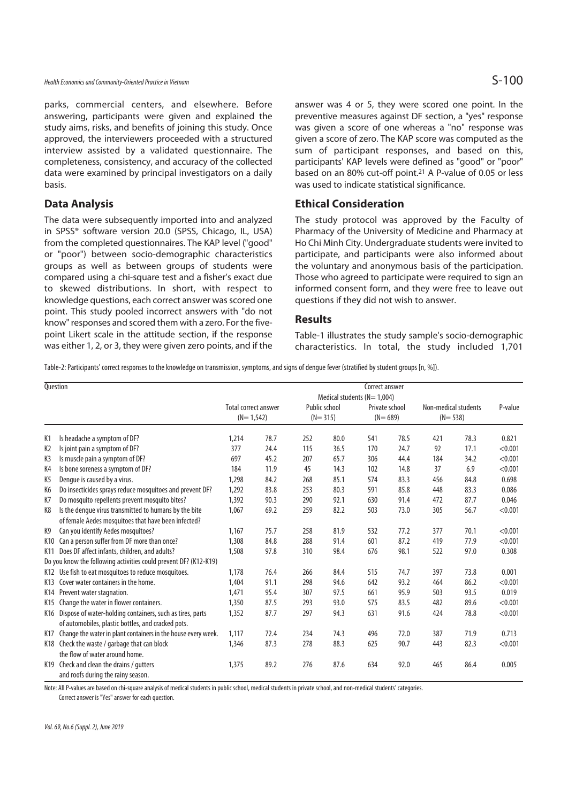### Health Economics and Community-Oriented Practice in Vietnam  $\mathsf{S-100}$

parks, commercial centers, and elsewhere. Before answering, participants were given and explained the study aims, risks, and benefits of joining this study. Once approved, the interviewers proceeded with a structured interview assisted by a validated questionnaire. The completeness, consistency, and accuracy of the collected data were examined by principal investigators on a daily basis.

## **Data Analysis**

The data were subsequently imported into and analyzed in SPSS® software version 20.0 (SPSS, Chicago, IL, USA) from the completed questionnaires. The KAP level ("good" or "poor") between socio-demographic characteristics groups as well as between groups of students were compared using a chi-square test and a fisher's exact due to skewed distributions. In short, with respect to knowledge questions, each correct answer was scored one point. This study pooled incorrect answers with "do not know" responses and scored them with a zero. For the fivepoint Likert scale in the attitude section, if the response was either 1, 2, or 3, they were given zero points, and if the answer was 4 or 5, they were scored one point. In the preventive measures against DF section, a "yes" response was given a score of one whereas a "no" response was given a score of zero. The KAP score was computed as the sum of participant responses, and based on this, participants' KAP levels were defined as "good" or "poor" based on an 80% cut-off point.21 A P-value of 0.05 or less was used to indicate statistical significance.

### **Ethical Consideration**

The study protocol was approved by the Faculty of Pharmacy of the University of Medicine and Pharmacy at Ho Chi Minh City. Undergraduate students were invited to participate, and participants were also informed about the voluntary and anonymous basis of the participation. Those who agreed to participate were required to sign an informed consent form, and they were free to leave out questions if they did not wish to answer.

#### **Results**

Table-1 illustrates the study sample's socio-demographic characteristics. In total, the study included 1,701

Table-2: Participants' correct responses to the knowledge on transmission, symptoms, and signs of dengue fever (stratified by student groups [n, %]).

| Question       |                                                                  | Correct answer<br>Medical students ( $N = 1,004$ ) |      |     |                              |                               |      |                                     |      |         |
|----------------|------------------------------------------------------------------|----------------------------------------------------|------|-----|------------------------------|-------------------------------|------|-------------------------------------|------|---------|
|                |                                                                  | Total correct answer<br>$(N=1,542)$                |      |     | Public school<br>$(N = 315)$ | Private school<br>$(N = 689)$ |      | Non-medical students<br>$(N = 538)$ |      | P-value |
| K <sub>1</sub> | Is headache a symptom of DF?                                     | 1,214                                              | 78.7 | 252 | 80.0                         | 541                           | 78.5 | 421                                 | 78.3 | 0.821   |
| K <sub>2</sub> | Is joint pain a symptom of DF?                                   | 377                                                | 24.4 | 115 | 36.5                         | 170                           | 24.7 | 92                                  | 17.1 | < 0.001 |
| K3             | Is muscle pain a symptom of DF?                                  | 697                                                | 45.2 | 207 | 65.7                         | 306                           | 44.4 | 184                                 | 34.2 | < 0.001 |
| K4             | Is bone soreness a symptom of DF?                                | 184                                                | 11.9 | 45  | 14.3                         | 102                           | 14.8 | 37                                  | 6.9  | < 0.001 |
| K5             | Dengue is caused by a virus.                                     | 1,298                                              | 84.2 | 268 | 85.1                         | 574                           | 83.3 | 456                                 | 84.8 | 0.698   |
| K <sub>6</sub> | Do insecticides sprays reduce mosquitoes and prevent DF?         | 1,292                                              | 83.8 | 253 | 80.3                         | 591                           | 85.8 | 448                                 | 83.3 | 0.086   |
| K7             | Do mosquito repellents prevent mosquito bites?                   | 1,392                                              | 90.3 | 290 | 92.1                         | 630                           | 91.4 | 472                                 | 87.7 | 0.046   |
| K8             | Is the dengue virus transmitted to humans by the bite            | 1,067                                              | 69.2 | 259 | 82.2                         | 503                           | 73.0 | 305                                 | 56.7 | < 0.001 |
|                | of female Aedes mosquitoes that have been infected?              |                                                    |      |     |                              |                               |      |                                     |      |         |
| K <sub>9</sub> | Can you identify Aedes mosquitoes?                               | 1,167                                              | 75.7 | 258 | 81.9                         | 532                           | 77.2 | 377                                 | 70.1 | < 0.001 |
| K10            | Can a person suffer from DF more than once?                      | 1,308                                              | 84.8 | 288 | 91.4                         | 601                           | 87.2 | 419                                 | 77.9 | < 0.001 |
|                | K11 Does DF affect infants, children, and adults?                | 1,508                                              | 97.8 | 310 | 98.4                         | 676                           | 98.1 | 522                                 | 97.0 | 0.308   |
|                | Do you know the following activities could prevent DF? (K12-K19) |                                                    |      |     |                              |                               |      |                                     |      |         |
|                | K12 Use fish to eat mosquitoes to reduce mosquitoes.             | 1,178                                              | 76.4 | 266 | 84.4                         | 515                           | 74.7 | 397                                 | 73.8 | 0.001   |
|                | K13 Cover water containers in the home.                          | 1,404                                              | 91.1 | 298 | 94.6                         | 642                           | 93.2 | 464                                 | 86.2 | < 0.001 |
|                | K14 Prevent water stagnation.                                    | 1,471                                              | 95.4 | 307 | 97.5                         | 661                           | 95.9 | 503                                 | 93.5 | 0.019   |
|                | K15 Change the water in flower containers.                       | 1,350                                              | 87.5 | 293 | 93.0                         | 575                           | 83.5 | 482                                 | 89.6 | < 0.001 |
| K16            | Dispose of water-holding containers, such as tires, parts        | 1,352                                              | 87.7 | 297 | 94.3                         | 631                           | 91.6 | 424                                 | 78.8 | < 0.001 |
|                | of automobiles, plastic bottles, and cracked pots.               |                                                    |      |     |                              |                               |      |                                     |      |         |
| K17            | Change the water in plant containers in the house every week.    | 1.117                                              | 72.4 | 234 | 74.3                         | 496                           | 72.0 | 387                                 | 71.9 | 0.713   |
|                | K18 Check the waste / garbage that can block                     | 1,346                                              | 87.3 | 278 | 88.3                         | 625                           | 90.7 | 443                                 | 82.3 | < 0.001 |
|                | the flow of water around home.                                   |                                                    |      |     |                              |                               |      |                                     |      |         |
| K19            | Check and clean the drains / gutters                             | 1,375                                              | 89.2 | 276 | 87.6                         | 634                           | 92.0 | 465                                 | 86.4 | 0.005   |
|                | and roofs during the rainy season.                               |                                                    |      |     |                              |                               |      |                                     |      |         |

Note: All P-values are based on chi-square analysis of medical students in public school, medical students in private school, and non-medical students' categories.

Correct answer is "Yes" answer for each question.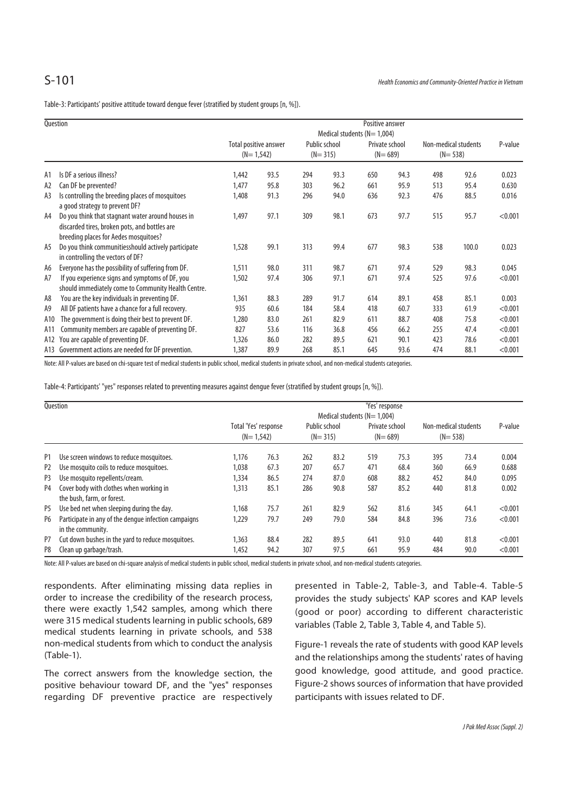Table-3: Participants' positive attitude toward dengue fever (stratified by student groups [n, %]).

| Question |                                                                                                                                             | Positive answer                  |                       |     |               |                |      |                      |       |         |  |
|----------|---------------------------------------------------------------------------------------------------------------------------------------------|----------------------------------|-----------------------|-----|---------------|----------------|------|----------------------|-------|---------|--|
|          |                                                                                                                                             | Medical students ( $N = 1,004$ ) |                       |     |               |                |      |                      |       |         |  |
|          |                                                                                                                                             |                                  | Total positive answer |     | Public school | Private school |      | Non-medical students |       | P-value |  |
|          |                                                                                                                                             | $(N=1,542)$                      |                       |     | $(N = 315)$   | $(N = 689)$    |      | $(N = 538)$          |       |         |  |
| A1       | Is DF a serious illness?                                                                                                                    | 1,442                            | 93.5                  | 294 | 93.3          | 650            | 94.3 | 498                  | 92.6  | 0.023   |  |
| A2       | Can DF be prevented?                                                                                                                        | 1,477                            | 95.8                  | 303 | 96.2          | 661            | 95.9 | 513                  | 95.4  | 0.630   |  |
| A3       | Is controlling the breeding places of mosquitoes<br>a good strategy to prevent DF?                                                          | 1,408                            | 91.3                  | 296 | 94.0          | 636            | 92.3 | 476                  | 88.5  | 0.016   |  |
| A4       | Do you think that stagnant water around houses in<br>discarded tires, broken pots, and bottles are<br>breeding places for Aedes mosquitoes? | 1,497                            | 97.1                  | 309 | 98.1          | 673            | 97.7 | 515                  | 95.7  | < 0.001 |  |
| A5       | Do you think communitiesshould actively participate<br>in controlling the vectors of DF?                                                    | 1,528                            | 99.1                  | 313 | 99.4          | 677            | 98.3 | 538                  | 100.0 | 0.023   |  |
| A6       | Everyone has the possibility of suffering from DF.                                                                                          | 1,511                            | 98.0                  | 311 | 98.7          | 671            | 97.4 | 529                  | 98.3  | 0.045   |  |
| A7       | If you experience signs and symptoms of DF, you                                                                                             | 1,502                            | 97.4                  | 306 | 97.1          | 671            | 97.4 | 525                  | 97.6  | < 0.001 |  |
|          | should immediately come to Community Health Centre.                                                                                         |                                  |                       |     |               |                |      |                      |       |         |  |
| A8       | You are the key individuals in preventing DF.                                                                                               | 1,361                            | 88.3                  | 289 | 91.7          | 614            | 89.1 | 458                  | 85.1  | 0.003   |  |
| A9       | All DF patients have a chance for a full recovery.                                                                                          | 935                              | 60.6                  | 184 | 58.4          | 418            | 60.7 | 333                  | 61.9  | < 0.001 |  |
| A10      | The government is doing their best to prevent DF.                                                                                           | 1,280                            | 83.0                  | 261 | 82.9          | 611            | 88.7 | 408                  | 75.8  | < 0.001 |  |
| A11      | Community members are capable of preventing DF.                                                                                             | 827                              | 53.6                  | 116 | 36.8          | 456            | 66.2 | 255                  | 47.4  | < 0.001 |  |
| A12      | You are capable of preventing DF.                                                                                                           | 1,326                            | 86.0                  | 282 | 89.5          | 621            | 90.1 | 423                  | 78.6  | < 0.001 |  |
|          | A13 Government actions are needed for DF prevention.                                                                                        | 1,387                            | 89.9                  | 268 | 85.1          | 645            | 93.6 | 474                  | 88.1  | < 0.001 |  |

Note: All P-values are based on chi-square test of medical students in public school, medical students in private school, and non-medical students categories.

Table-4: Participants' "yes" responses related to preventing measures against dengue fever (stratified by student groups [n, %]).

| <b>Ouestion</b> |                                                                           | 'Yes' response<br>Medical students ( $N = 1,004$ ) |      |                              |      |                               |      |                                     |      |         |  |
|-----------------|---------------------------------------------------------------------------|----------------------------------------------------|------|------------------------------|------|-------------------------------|------|-------------------------------------|------|---------|--|
|                 |                                                                           | Total 'Yes' response<br>$(N=1,542)$                |      | Public school<br>$(N = 315)$ |      | Private school<br>$(N = 689)$ |      | Non-medical students<br>$(N = 538)$ |      | P-value |  |
| P <sub>1</sub>  | Use screen windows to reduce mosquitoes.                                  | 1.176                                              | 76.3 | 262                          | 83.2 | 519                           | 75.3 | 395                                 | 73.4 | 0.004   |  |
| P <sub>2</sub>  | Use mosquito coils to reduce mosquitoes.                                  | 1,038                                              | 67.3 | 207                          | 65.7 | 471                           | 68.4 | 360                                 | 66.9 | 0.688   |  |
| P <sub>3</sub>  | Use mosquito repellents/cream.                                            | 1,334                                              | 86.5 | 274                          | 87.0 | 608                           | 88.2 | 452                                 | 84.0 | 0.095   |  |
| P <sub>4</sub>  | Cover body with clothes when working in<br>the bush, farm, or forest.     | 1,313                                              | 85.1 | 286                          | 90.8 | 587                           | 85.2 | 440                                 | 81.8 | 0.002   |  |
| P <sub>5</sub>  | Use bed net when sleeping during the day.                                 | 1,168                                              | 75.7 | 261                          | 82.9 | 562                           | 81.6 | 345                                 | 64.1 | < 0.001 |  |
| P <sub>6</sub>  | Participate in any of the dengue infection campaigns<br>in the community. | 1,229                                              | 79.7 | 249                          | 79.0 | 584                           | 84.8 | 396                                 | 73.6 | < 0.001 |  |
| P7              | Cut down bushes in the yard to reduce mosquitoes.                         | 1,363                                              | 88.4 | 282                          | 89.5 | 641                           | 93.0 | 440                                 | 81.8 | < 0.001 |  |
| P <sub>8</sub>  | Clean up garbage/trash.                                                   | 1,452                                              | 94.2 | 307                          | 97.5 | 661                           | 95.9 | 484                                 | 90.0 | < 0.001 |  |

Note: All P-values are based on chi-square analysis of medical students in public school, medical students in private school, and non-medical students categories.

respondents. After eliminating missing data replies in order to increase the credibility of the research process, there were exactly 1,542 samples, among which there were 315 medical students learning in public schools, 689 medical students learning in private schools, and 538 non-medical students from which to conduct the analysis (Table-1).

The correct answers from the knowledge section, the positive behaviour toward DF, and the "yes" responses regarding DF preventive practice are respectively presented in Table-2, Table-3, and Table-4. Table-5 provides the study subjects' KAP scores and KAP levels (good or poor) according to different characteristic variables (Table 2, Table 3, Table 4, and Table 5).

Figure-1 reveals the rate of students with good KAP levels and the relationships among the students' rates of having good knowledge, good attitude, and good practice. Figure-2 shows sources of information that have provided participants with issues related to DF.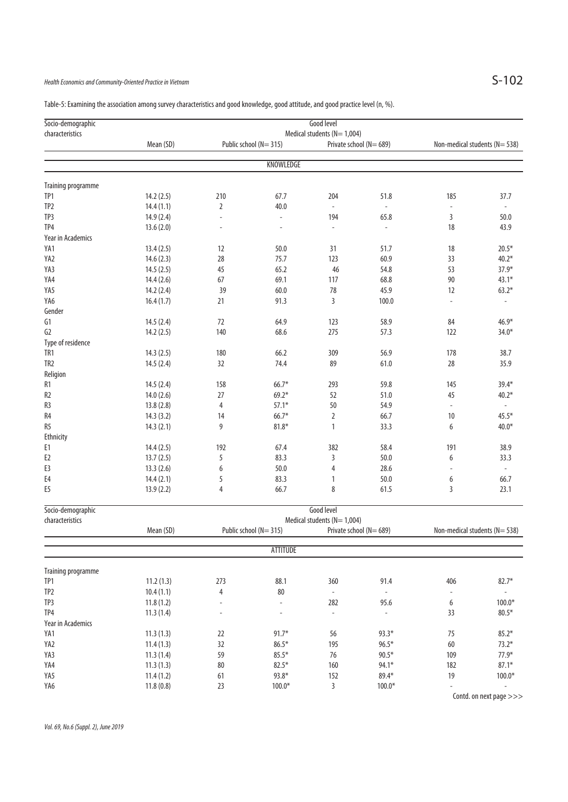# Health Economics and Community-Oriented Practice in Vietnam  $S-102$

| Socio-demographic  |                                                                                |                          |                          | Good level                  |                |                              |                |  |  |  |  |
|--------------------|--------------------------------------------------------------------------------|--------------------------|--------------------------|-----------------------------|----------------|------------------------------|----------------|--|--|--|--|
| characteristics    | Medical students (N= 1,004)<br>Public school (N=315)<br>Private school (N=689) |                          |                          |                             |                |                              |                |  |  |  |  |
|                    | Mean (SD)                                                                      |                          |                          |                             |                | Non-medical students (N=538) |                |  |  |  |  |
|                    |                                                                                |                          | KNOWLEDGE                |                             |                |                              |                |  |  |  |  |
| Training programme |                                                                                |                          |                          |                             |                |                              |                |  |  |  |  |
| TP1                | 14.2(2.5)                                                                      | 210                      | 67.7                     | 204                         | 51.8           | 185                          | 37.7           |  |  |  |  |
| TP2                | 14.4(1.1)                                                                      | $\overline{2}$           | 40.0                     | $\omega$                    | $\omega$       | $\overline{\phantom{a}}$     |                |  |  |  |  |
| TP3                | 14.9 (2.4)                                                                     | ÷,                       | ä,                       | 194                         | 65.8           | 3                            | 50.0           |  |  |  |  |
| TP4                | 13.6(2.0)                                                                      | ÷,                       | $\sim$                   | $\overline{\phantom{0}}$    | $\blacksquare$ | 18                           | 43.9           |  |  |  |  |
| Year in Academics  |                                                                                |                          |                          |                             |                |                              |                |  |  |  |  |
| YA1                | 13.4(2.5)                                                                      | 12                       | 50.0                     | 31                          | 51.7           | 18                           | $20.5*$        |  |  |  |  |
| YA2                | 14.6(2.3)                                                                      | 28                       | 75.7                     | 123                         | 60.9           | 33                           | $40.2*$        |  |  |  |  |
| YA3                | 14.5(2.5)                                                                      | 45                       | 65.2                     | 46                          | 54.8           | 53                           | $37.9*$        |  |  |  |  |
| YA4                | 14.4(2.6)                                                                      | 67                       | 69.1                     | 117                         | 68.8           | 90                           | $43.1*$        |  |  |  |  |
| YA5                | 14.2(2.4)                                                                      | 39                       | 60.0                     | 78                          | 45.9           | 12                           | $63.2*$        |  |  |  |  |
| YA6                | 16.4(1.7)                                                                      | 21                       | 91.3                     | 3                           | 100.0          | $\sim$                       |                |  |  |  |  |
| Gender             |                                                                                |                          |                          |                             |                |                              |                |  |  |  |  |
| G1                 | 14.5(2.4)                                                                      | 72                       | 64.9                     | 123                         | 58.9           | 84                           | $46.9*$        |  |  |  |  |
| G2                 | 14.2(2.5)                                                                      | 140                      | 68.6                     | 275                         | 57.3           | 122                          | $34.0*$        |  |  |  |  |
| Type of residence  |                                                                                |                          |                          |                             |                |                              |                |  |  |  |  |
| TR1                | 14.3(2.5)                                                                      | 180                      | 66.2                     | 309                         | 56.9           | 178                          | 38.7           |  |  |  |  |
| TR <sub>2</sub>    | 14.5(2.4)                                                                      | 32                       | 74.4                     | 89                          | 61.0           | 28                           | 35.9           |  |  |  |  |
| Religion           |                                                                                |                          |                          |                             |                |                              |                |  |  |  |  |
| R1                 | 14.5(2.4)                                                                      | 158                      | $66.7*$                  | 293                         | 59.8           | 145                          | $39.4*$        |  |  |  |  |
| R2                 | 14.0(2.6)                                                                      | 27                       | $69.2*$                  | 52                          | 51.0           | 45                           | $40.2*$        |  |  |  |  |
| R3                 | 13.8(2.8)                                                                      | $\overline{4}$           | $57.1*$                  | 50                          | 54.9           | $\blacksquare$               |                |  |  |  |  |
| R4                 | 14.3(3.2)                                                                      | 14                       | $66.7*$                  | 2                           | 66.7           | 10                           | $45.5*$        |  |  |  |  |
| R5                 | 14.3(2.1)                                                                      | 9                        | $81.8*$                  | 1                           | 33.3           | 6                            | $40.0*$        |  |  |  |  |
| <b>Ethnicity</b>   |                                                                                |                          |                          |                             |                |                              |                |  |  |  |  |
| Е1                 | 14.4(2.5)                                                                      | 192                      | 67.4                     | 382                         | 58.4           | 191                          | 38.9           |  |  |  |  |
| E2                 | 13.7(2.5)                                                                      | 5                        | 83.3                     | 3                           | 50.0           | 6                            | 33.3           |  |  |  |  |
| E3                 | 13.3(2.6)                                                                      | 6                        | 50.0                     | 4                           | 28.6           | $\overline{a}$               | $\blacksquare$ |  |  |  |  |
| E4                 | 14.4(2.1)                                                                      | 5                        | 83.3                     | 1                           | 50.0           | 6                            | 66.7           |  |  |  |  |
| E5                 | 13.9(2.2)                                                                      | 4                        | 66.7                     | 8                           | 61.5           | 3                            | 23.1           |  |  |  |  |
| Socio-demographic  |                                                                                |                          |                          | Good level                  |                |                              |                |  |  |  |  |
| characteristics    |                                                                                |                          |                          | Medical students (N= 1,004) |                |                              |                |  |  |  |  |
|                    | Mean (SD)                                                                      |                          | Public school (N=315)    | Private school (N=689)      |                | Non-medical students (N=538) |                |  |  |  |  |
|                    |                                                                                |                          | ATTITUDE                 |                             |                |                              |                |  |  |  |  |
|                    |                                                                                |                          |                          |                             |                |                              |                |  |  |  |  |
| Training programme |                                                                                |                          |                          |                             |                |                              |                |  |  |  |  |
| TP1                | 11.2(1.3)                                                                      | 273                      | 88.1                     | 360                         | 91.4           | 406                          | $82.7*$        |  |  |  |  |
| TP2                | 10.4(1.1)                                                                      | 4                        | 80                       | $\Box$                      | $\blacksquare$ | $\overline{\phantom{a}}$     |                |  |  |  |  |
| TP3                | 11.8(1.2)                                                                      | $\overline{\phantom{a}}$ | $\omega$                 | 282                         | 95.6           | 6                            | $100.0*$       |  |  |  |  |
| TP4                | 11.3(1.4)                                                                      | $\overline{\phantom{a}}$ | $\overline{\phantom{a}}$ | $\blacksquare$              | $\blacksquare$ | 33                           | $80.5*$        |  |  |  |  |
| Year in Academics  |                                                                                |                          |                          |                             |                |                              |                |  |  |  |  |
| YA1                | 11.3(1.3)                                                                      | 22                       | $91.7*$                  | 56                          | $93.3*$        | 75                           | $85.2*$        |  |  |  |  |
| YA2                | 11.4(1.3)                                                                      | 32                       | $86.5*$                  | 195                         | $96.5*$        | 60                           | $73.2*$        |  |  |  |  |
| YA3                | 11.3(1.4)                                                                      | 59                       | $85.5*$                  | 76                          | $90.5*$        | 109                          | $77.9*$        |  |  |  |  |
| YA4                | 11.3(1.3)                                                                      | 80                       | $82.5*$                  | 160                         | 94.1*          | 182                          | $87.1*$        |  |  |  |  |
| YA5                | 11.4(1.2)                                                                      | 61                       | $93.8*$                  | 152                         | $89.4*$        | 19                           | $100.0*$       |  |  |  |  |

YA6 11.8 (0.8) 23 100.0\* 3 100.0\* - -

Table-5: Examining the association among survey characteristics and good knowledge, good attitude, and good practice level (n, %).

Contd. on next page >>>

Vol. 69, No.6 (Suppl. 2), June 2019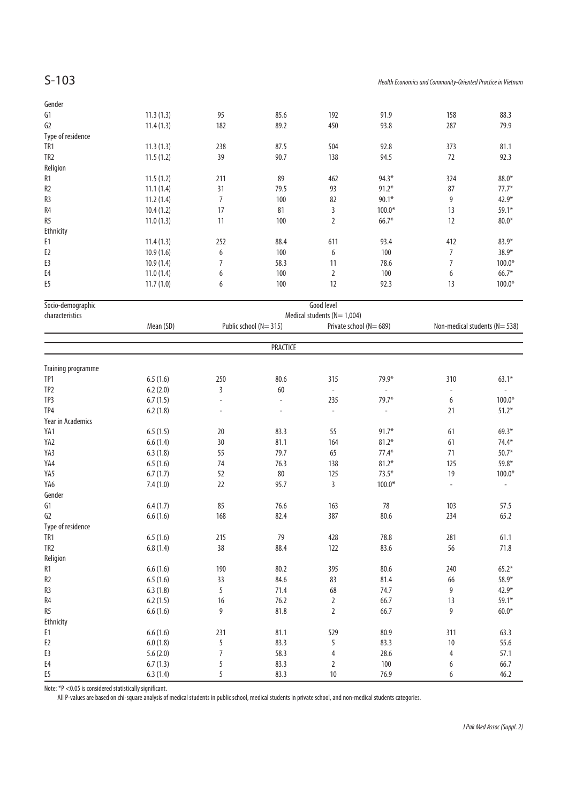| Gender                    |           |                |                       |                             |                          |                          |                              |
|---------------------------|-----------|----------------|-----------------------|-----------------------------|--------------------------|--------------------------|------------------------------|
| 61                        | 11.3(1.3) | 95             | 85.6                  | 192                         | 91.9                     | 158                      | 88.3                         |
| G <sub>2</sub>            | 11.4(1.3) | 182            | 89.2                  | 450                         | 93.8                     | 287                      | 79.9                         |
| Type of residence         |           |                |                       |                             |                          |                          |                              |
| TR1                       | 11.3(1.3) | 238            | 87.5                  | 504                         | 92.8                     | 373                      | 81.1                         |
| TR <sub>2</sub>           | 11.5(1.2) | 39             | 90.7                  | 138                         | 94.5                     | 72                       | 92.3                         |
| Religion                  |           |                |                       |                             |                          |                          |                              |
| R <sub>1</sub>            | 11.5(1.2) | 211            | 89                    | 462                         | $94.3*$                  | 324                      | $88.0*$                      |
| R <sub>2</sub>            | 11.1(1.4) | 31             | 79.5                  | 93                          | $91.2*$                  | 87                       | $77.7*$                      |
| R <sub>3</sub>            | 11.2(1.4) | $\overline{7}$ | 100                   | 82                          | $90.1*$                  | 9                        | 42.9*                        |
| R4                        | 10.4(1.2) | 17             | 81                    | 3                           | $100.0*$                 | 13                       | $59.1*$                      |
| R <sub>5</sub>            | 11.0(1.3) | 11             | 100                   | $\overline{2}$              | $66.7*$                  | 12                       | $80.0*$                      |
| Ethnicity                 |           |                |                       |                             |                          |                          |                              |
| E1                        | 11.4(1.3) | 252            | 88.4                  | 611                         | 93.4                     | 412                      | $83.9*$                      |
| E <sub>2</sub>            | 10.9(1.6) | 6              | 100                   | 6                           | 100                      | $\overline{7}$           | 38.9*                        |
| E3                        | 10.9(1.4) | 7              | 58.3                  | 11                          | 78.6                     | 7                        | $100.0*$                     |
| E4                        | 11.0(1.4) | 6              | 100                   | 2                           | 100                      | 6                        | $66.7*$                      |
| E <sub>5</sub>            | 11.7(1.0) | 6              | 100                   | 12                          | 92.3                     | 13                       | $100.0*$                     |
|                           |           |                |                       |                             |                          |                          |                              |
| Socio-demographic         |           |                |                       | Good level                  |                          |                          |                              |
| characteristics           |           |                |                       | Medical students (N= 1,004) |                          |                          |                              |
|                           | Mean (SD) |                | Public school (N=315) |                             | Private school (N=689)   |                          | Non-medical students (N=538) |
|                           |           |                | <b>PRACTICE</b>       |                             |                          |                          |                              |
|                           |           |                |                       |                             |                          |                          |                              |
| <b>Training programme</b> |           |                |                       |                             |                          |                          |                              |
| TP1                       | 6.5(1.6)  | 250            | 80.6                  | 315                         | $79.9*$                  | 310                      | $63.1*$                      |
| TP <sub>2</sub>           | 6.2(2.0)  | 3              | 60                    | $\overline{\phantom{a}}$    | $\overline{\phantom{a}}$ | $\overline{\phantom{a}}$ | $\overline{\phantom{a}}$     |
| TP3                       | 6.7(1.5)  | ÷,             | $\omega$              | 235                         | $79.7*$                  | 6                        | $100.0*$                     |
| TP4                       | 6.2(1.8)  |                | ÷.                    | $\bar{\phantom{a}}$         | $\overline{\phantom{a}}$ | 21                       | $51.2*$                      |
| Year in Academics         |           |                |                       |                             |                          |                          |                              |
| YA1                       | 6.5(1.5)  | 20             | 83.3                  | 55                          | $91.7*$                  | 61                       | $69.3*$                      |
| YA2                       | 6.6(1.4)  | 30             | 81.1                  | 164                         | $81.2*$                  | 61                       | $74.4*$                      |
| YA3                       | 6.3(1.8)  | 55             | 79.7                  | 65                          | $77.4*$                  | 71                       | $50.7*$                      |
| YA4                       | 6.5(1.6)  | 74             | 76.3                  | 138                         | $81.2*$                  | 125                      | $59.8*$                      |
| YA5                       | 6.7(1.7)  | 52             | $80\,$                | 125                         | $73.5*$                  | 19                       | $100.0*$                     |
| YA6                       | 7.4(1.0)  | 22             | 95.7                  | 3                           | $100.0*$                 | $\omega$                 | $\omega$                     |
| Gender                    |           |                |                       |                             |                          |                          |                              |
| 61                        | 6.4(1.7)  | 85             | 76.6                  | 163                         | 78                       | 103                      | 57.5                         |
| G <sub>2</sub>            | 6.6(1.6)  | 168            | 82.4                  | 387                         | 80.6                     | 234                      | 65.2                         |
| Type of residence         |           |                |                       |                             |                          |                          |                              |
| TR1                       | 6.5(1.6)  | 215            | 79                    | 428                         | 78.8                     | 281                      | 61.1                         |
| TR <sub>2</sub>           | 6.8(1.4)  | 38             | 88.4                  | 122                         | 83.6                     | 56                       | 71.8                         |
| Religion                  |           |                |                       |                             |                          |                          |                              |
| R1                        | 6.6(1.6)  | 190            | 80.2                  | 395                         | $80.6\,$                 | 240                      | $65.2*$                      |
| R <sub>2</sub>            | 6.5(1.6)  | 33             | 84.6                  | 83                          | 81.4                     | 66                       | $58.9*$                      |
| R3                        | 6.3(1.8)  | 5              | 71.4                  | 68                          | 74.7                     | 9                        | 42.9*                        |
| R4                        | 6.2(1.5)  | 16             | 76.2                  | $\overline{2}$              | 66.7                     | 13                       | $59.1*$                      |
| R5                        | 6.6(1.6)  | 9              | 81.8                  | $\overline{2}$              | 66.7                     | 9                        | $60.0*$                      |
| Ethnicity                 |           |                |                       |                             |                          |                          |                              |
| E1                        | 6.6(1.6)  | 231            | 81.1                  | 529                         | 80.9                     | 311                      | 63.3                         |
| E <sub>2</sub>            | 6.0(1.8)  | 5              | 83.3                  | 5                           | 83.3                     | 10                       | 55.6                         |
| E3                        |           | 7              | 58.3                  |                             | 28.6                     |                          | 57.1                         |
|                           | 5.6(2.0)  |                |                       | 4                           |                          | 4                        |                              |
| E4                        | 6.7(1.3)  | 5              | 83.3                  | $\overline{2}$              | 100                      | 6                        | 66.7                         |
| E <sub>5</sub>            | 6.3(1.4)  | 5              | 83.3                  | 10                          | 76.9                     | 6                        | 46.2                         |

Note: \*P <0.05 is considered statistically significant.

All P-values are based on chi-square analysis of medical students in public school, medical students in private school, and non-medical students categories.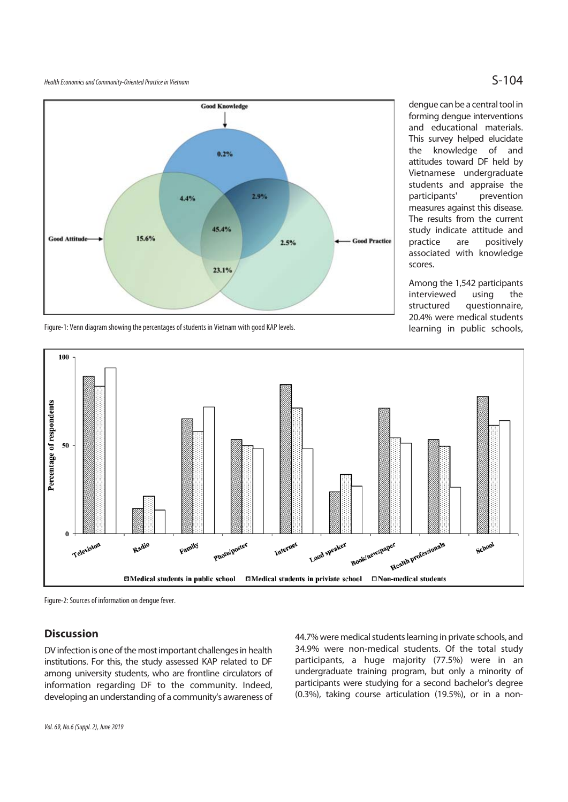Health Economics and Community-Oriented Practice in Vietnam  $S-104$ 



Figure-1: Venn diagram showing the percentages of students in Vietnam with good KAP levels.

dengue can be a central tool in forming dengue interventions and educational materials. This survey helped elucidate the knowledge of and attitudes toward DF held by Vietnamese undergraduate students and appraise the participants' prevention measures against this disease. The results from the current study indicate attitude and practice are positively associated with knowledge scores.

Among the 1,542 participants interviewed using the structured questionnaire, 20.4% were medical students learning in public schools,



Figure-2: Sources of information on dengue fever.

## **Discussion**

DV infection is one of the most important challenges in health institutions. For this, the study assessed KAP related to DF among university students, who are frontline circulators of information regarding DF to the community. Indeed, developing an understanding of a community's awareness of 44.7% were medical students learning in private schools, and 34.9% were non-medical students. Of the total study participants, a huge majority (77.5%) were in an undergraduate training program, but only a minority of participants were studying for a second bachelor's degree (0.3%), taking course articulation (19.5%), or in a non-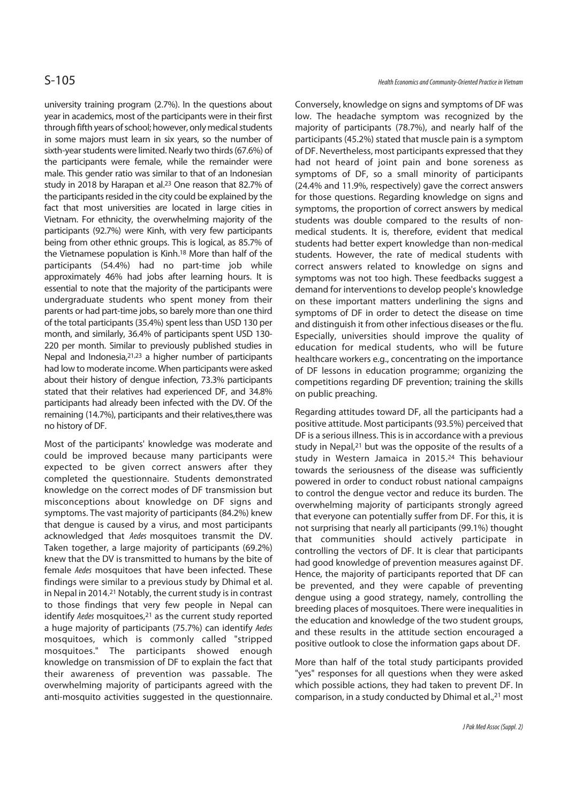university training program (2.7%). In the questions about year in academics, most of the participants were in their first through fifth years of school; however, only medical students in some majors must learn in six years, so the number of sixth-year students were limited. Nearly two thirds (67.6%) of the participants were female, while the remainder were male. This gender ratio was similar to that of an Indonesian study in 2018 by Harapan et al.23 One reason that 82.7% of the participants resided in the city could be explained by the fact that most universities are located in large cities in Vietnam. For ethnicity, the overwhelming majority of the participants (92.7%) were Kinh, with very few participants being from other ethnic groups. This is logical, as 85.7% of the Vietnamese population is Kinh.18 More than half of the participants (54.4%) had no part-time job while approximately 46% had jobs after learning hours. It is essential to note that the majority of the participants were undergraduate students who spent money from their parents or had part-time jobs, so barely more than one third of the total participants (35.4%) spent less than USD 130 per month, and similarly, 36.4% of participants spent USD 130- 220 per month. Similar to previously published studies in Nepal and Indonesia,21,23 a higher number of participants had low to moderate income. When participants were asked about their history of dengue infection, 73.3% participants stated that their relatives had experienced DF, and 34.8% participants had already been infected with the DV. Of the remaining (14.7%), participants and their relatives,there was no history of DF.

Most of the participants' knowledge was moderate and could be improved because many participants were expected to be given correct answers after they completed the questionnaire. Students demonstrated knowledge on the correct modes of DF transmission but misconceptions about knowledge on DF signs and symptoms. The vast majority of participants (84.2%) knew that dengue is caused by a virus, and most participants acknowledged that Aedes mosquitoes transmit the DV. Taken together, a large majority of participants (69.2%) knew that the DV is transmitted to humans by the bite of female Aedes mosquitoes that have been infected. These findings were similar to a previous study by Dhimal et al. in Nepal in 2014.21 Notably, the current study is in contrast to those findings that very few people in Nepal can identify Aedes mosquitoes,<sup>21</sup> as the current study reported a huge majority of participants (75.7%) can identify Aedes mosquitoes, which is commonly called "stripped mosquitoes." The participants showed enough knowledge on transmission of DF to explain the fact that their awareness of prevention was passable. The overwhelming majority of participants agreed with the anti-mosquito activities suggested in the questionnaire.

Conversely, knowledge on signs and symptoms of DF was low. The headache symptom was recognized by the majority of participants (78.7%), and nearly half of the participants (45.2%) stated that muscle pain is a symptom of DF. Nevertheless, most participants expressed that they had not heard of joint pain and bone soreness as symptoms of DF, so a small minority of participants (24.4% and 11.9%, respectively) gave the correct answers for those questions. Regarding knowledge on signs and symptoms, the proportion of correct answers by medical students was double compared to the results of nonmedical students. It is, therefore, evident that medical students had better expert knowledge than non-medical students. However, the rate of medical students with correct answers related to knowledge on signs and symptoms was not too high. These feedbacks suggest a demand for interventions to develop people's knowledge on these important matters underlining the signs and symptoms of DF in order to detect the disease on time and distinguish it from other infectious diseases or the flu. Especially, universities should improve the quality of education for medical students, who will be future healthcare workers e.g., concentrating on the importance of DF lessons in education programme; organizing the competitions regarding DF prevention; training the skills on public preaching.

Regarding attitudes toward DF, all the participants had a positive attitude. Most participants (93.5%) perceived that DF is a serious illness. This is in accordance with a previous study in Nepal,<sup>21</sup> but was the opposite of the results of a study in Western Jamaica in 2015.24 This behaviour towards the seriousness of the disease was sufficiently powered in order to conduct robust national campaigns to control the dengue vector and reduce its burden. The overwhelming majority of participants strongly agreed that everyone can potentially suffer from DF. For this, it is not surprising that nearly all participants (99.1%) thought that communities should actively participate in controlling the vectors of DF. It is clear that participants had good knowledge of prevention measures against DF. Hence, the majority of participants reported that DF can be prevented, and they were capable of preventing dengue using a good strategy, namely, controlling the breeding places of mosquitoes. There were inequalities in the education and knowledge of the two student groups, and these results in the attitude section encouraged a positive outlook to close the information gaps about DF.

More than half of the total study participants provided "yes" responses for all questions when they were asked which possible actions, they had taken to prevent DF. In comparison, in a study conducted by Dhimal et al.,<sup>21</sup> most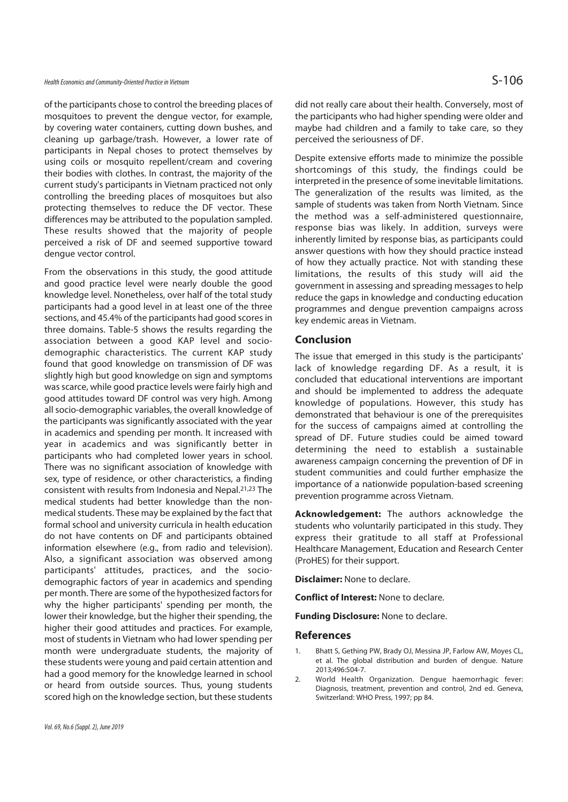of the participants chose to control the breeding places of mosquitoes to prevent the dengue vector, for example, by covering water containers, cutting down bushes, and cleaning up garbage/trash. However, a lower rate of participants in Nepal choses to protect themselves by using coils or mosquito repellent/cream and covering their bodies with clothes. In contrast, the majority of the current study's participants in Vietnam practiced not only controlling the breeding places of mosquitoes but also protecting themselves to reduce the DF vector. These differences may be attributed to the population sampled. These results showed that the majority of people perceived a risk of DF and seemed supportive toward dengue vector control.

From the observations in this study, the good attitude and good practice level were nearly double the good knowledge level. Nonetheless, over half of the total study participants had a good level in at least one of the three sections, and 45.4% of the participants had good scores in three domains. Table-5 shows the results regarding the association between a good KAP level and sociodemographic characteristics. The current KAP study found that good knowledge on transmission of DF was slightly high but good knowledge on sign and symptoms was scarce, while good practice levels were fairly high and good attitudes toward DF control was very high. Among all socio-demographic variables, the overall knowledge of the participants was significantly associated with the year in academics and spending per month. It increased with year in academics and was significantly better in participants who had completed lower years in school. There was no significant association of knowledge with sex, type of residence, or other characteristics, a finding consistent with results from Indonesia and Nepal.21,23 The medical students had better knowledge than the nonmedical students. These may be explained by the fact that formal school and university curricula in health education do not have contents on DF and participants obtained information elsewhere (e.g., from radio and television). Also, a significant association was observed among participants' attitudes, practices, and the sociodemographic factors of year in academics and spending per month. There are some of the hypothesized factors for why the higher participants' spending per month, the lower their knowledge, but the higher their spending, the higher their good attitudes and practices. For example, most of students in Vietnam who had lower spending per month were undergraduate students, the majority of these students were young and paid certain attention and had a good memory for the knowledge learned in school or heard from outside sources. Thus, young students scored high on the knowledge section, but these students

did not really care about their health. Conversely, most of the participants who had higher spending were older and maybe had children and a family to take care, so they perceived the seriousness of DF.

Despite extensive efforts made to minimize the possible shortcomings of this study, the findings could be interpreted in the presence of some inevitable limitations. The generalization of the results was limited, as the sample of students was taken from North Vietnam. Since the method was a self-administered questionnaire, response bias was likely. In addition, surveys were inherently limited by response bias, as participants could answer questions with how they should practice instead of how they actually practice. Not with standing these limitations, the results of this study will aid the government in assessing and spreading messages to help reduce the gaps in knowledge and conducting education programmes and dengue prevention campaigns across key endemic areas in Vietnam.

### **Conclusion**

The issue that emerged in this study is the participants' lack of knowledge regarding DF. As a result, it is concluded that educational interventions are important and should be implemented to address the adequate knowledge of populations. However, this study has demonstrated that behaviour is one of the prerequisites for the success of campaigns aimed at controlling the spread of DF. Future studies could be aimed toward determining the need to establish a sustainable awareness campaign concerning the prevention of DF in student communities and could further emphasize the importance of a nationwide population-based screening prevention programme across Vietnam.

**Acknowledgement:** The authors acknowledge the students who voluntarily participated in this study. They express their gratitude to all staff at Professional Healthcare Management, Education and Research Center (ProHES) for their support.

**Disclaimer:** None to declare.

**Conflict of Interest:** None to declare.

**Funding Disclosure:** None to declare.

#### **References**

- 1. Bhatt S, Gething PW, Brady OJ, Messina JP, Farlow AW, Moyes CL, et al. The global distribution and burden of dengue. Nature 2013;496:504-7.
- 2. World Health Organization. Dengue haemorrhagic fever: Diagnosis, treatment, prevention and control, 2nd ed. Geneva, Switzerland: WHO Press, 1997; pp 84.